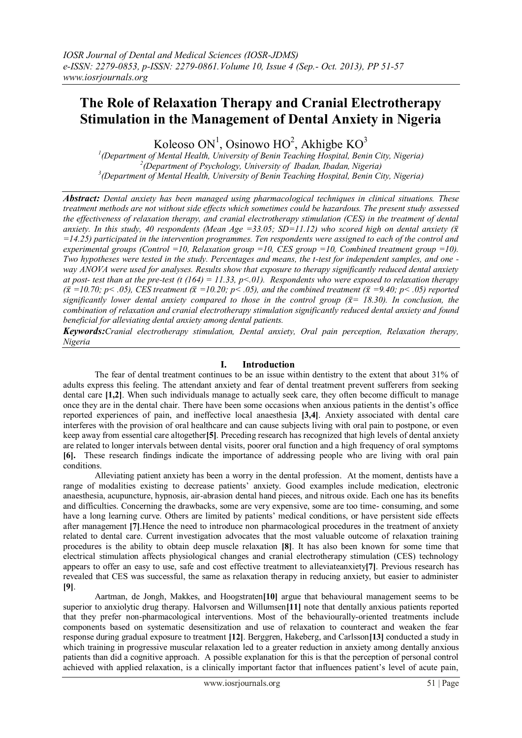# **The Role of Relaxation Therapy and Cranial Electrotherapy Stimulation in the Management of Dental Anxiety in Nigeria**

Koleoso ON<sup>1</sup>, Osinowo HO<sup>2</sup>, Akhigbe KO<sup>3</sup>

*1 (Department of Mental Health, University of Benin Teaching Hospital, Benin City, Nigeria) 2 (Department of Psychology, University of Ibadan, Ibadan, Nigeria) 3 (Department of Mental Health, University of Benin Teaching Hospital, Benin City, Nigeria)*

*Abstract: Dental anxiety has been managed using pharmacological techniques in clinical situations. These treatment methods are not without side effects which sometimes could be hazardous. The present study assessed the effectiveness of relaxation therapy, and cranial electrotherapy stimulation (CES) in the treatment of dental*  anxiety. In this study, 40 respondents (Mean Age = 33.05; SD=11.12) who scored high on dental anxiety ( $\bar{x}$ ) *=14.25) participated in the intervention programmes. Ten respondents were assigned to each of the control and experimental groups (Control =10, Relaxation group =10, CES group =10, Combined treatment group =10). Two hypotheses were tested in the study. Percentages and means, the t-test for independent samples, and one way ANOVA were used for analyses. Results show that exposure to therapy significantly reduced dental anxiety at post- test than at the pre-test (t (164) = 11.33, p<.01). Respondents who were exposed to relaxation therapy*   $({\bar{x}} = 10.70; p < .05)$ , CES treatment ( ${\bar{x}} = 10.20; p < .05$ ), and the combined treatment ( ${\bar{x}} = 9.40; p < .05$ ) reported *significantly lower dental anxiety compared to those in the control group*  $(\bar{x} = 18.30)$ *. In conclusion, the combination of relaxation and cranial electrotherapy stimulation significantly reduced dental anxiety and found beneficial for alleviating dental anxiety among dental patients.*

*Keywords:Cranial electrotherapy stimulation, Dental anxiety, Oral pain perception, Relaxation therapy, Nigeria*

# **I. Introduction**

The fear of dental treatment continues to be an issue within dentistry to the extent that about 31% of adults express this feeling. The attendant anxiety and fear of dental treatment prevent sufferers from seeking dental care **[1,2]**. When such individuals manage to actually seek care, they often become difficult to manage once they are in the dental chair. There have been some occasions when anxious patients in the dentist's office reported experiences of pain, and ineffective local anaesthesia **[3,4]**. Anxiety associated with dental care interferes with the provision of oral healthcare and can cause subjects living with oral pain to postpone, or even keep away from essential care altogether**[5]**. Preceding research has recognized that high levels of dental anxiety are related to longer intervals between dental visits, poorer oral function and a high frequency of oral symptoms **[6].** These research findings indicate the importance of addressing people who are living with oral pain conditions.

Alleviating patient anxiety has been a worry in the dental profession. At the moment, dentists have a range of modalities existing to decrease patients' anxiety. Good examples include medication, electronic anaesthesia, acupuncture, hypnosis, air-abrasion dental hand pieces, and nitrous oxide. Each one has its benefits and difficulties. Concerning the drawbacks, some are very expensive, some are too time- consuming, and some have a long learning curve. Others are limited by patients' medical conditions, or have persistent side effects after management **[7]**.Hence the need to introduce non pharmacological procedures in the treatment of anxiety related to dental care. Current investigation advocates that the most valuable outcome of relaxation training procedures is the ability to obtain deep muscle relaxation **[8]**. It has also been known for some time that electrical stimulation affects physiological changes and cranial electrotherapy stimulation (CES) technology appears to offer an easy to use, safe and cost effective treatment to alleviateanxiety**[7]**. Previous research has revealed that CES was successful, the same as relaxation therapy in reducing anxiety, but easier to administer **[9]**.

Aartman, de Jongh, Makkes, and Hoogstraten**[10]** argue that behavioural management seems to be superior to anxiolytic drug therapy. Halvorsen and Willumsen**[11]** note that dentally anxious patients reported that they prefer non-pharmacological interventions. Most of the behaviourally-oriented treatments include components based on systematic desensitization and use of relaxation to counteract and weaken the fear response during gradual exposure to treatment **[12]**. Berggren, Hakeberg, and Carlsson**[13]** conducted a study in which training in progressive muscular relaxation led to a greater reduction in anxiety among dentally anxious patients than did a cognitive approach. A possible explanation for this is that the perception of personal control achieved with applied relaxation, is a clinically important factor that influences patient's level of acute pain,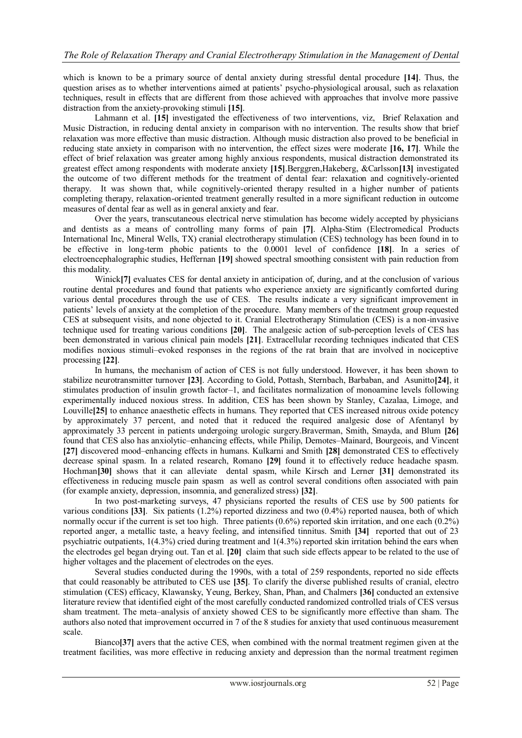which is known to be a primary source of dental anxiety during stressful dental procedure **[14]**. Thus, the question arises as to whether interventions aimed at patients' psycho-physiological arousal, such as relaxation techniques, result in effects that are different from those achieved with approaches that involve more passive distraction from the anxiety-provoking stimuli **[15]**.

Lahmann et al. **[15]** investigated the effectiveness of two interventions, viz, Brief Relaxation and Music Distraction, in reducing dental anxiety in comparison with no intervention. The results show that brief relaxation was more effective than music distraction. Although music distraction also proved to be beneficial in reducing state anxiety in comparison with no intervention, the effect sizes were moderate **[16, 17]**. While the effect of brief relaxation was greater among highly anxious respondents, musical distraction demonstrated its greatest effect among respondents with moderate anxiety **[15]**.Berggren,Hakeberg, &Carlsson**[13]** investigated the outcome of two different methods for the treatment of dental fear: relaxation and cognitively-oriented therapy. It was shown that, while cognitively-oriented therapy resulted in a higher number of patients completing therapy, relaxation-oriented treatment generally resulted in a more significant reduction in outcome measures of dental fear as well as in general anxiety and fear.

Over the years, transcutaneous electrical nerve stimulation has become widely accepted by physicians and dentists as a means of controlling many forms of pain **[7]**. Alpha-Stim (Electromedical Products International Inc, Mineral Wells, TX) cranial electrotherapy stimulation (CES) technology has been found in to be effective in long-term phobic patients to the 0.0001 level of confidence **[18]**. In a series of electroencephalographic studies, Heffernan **[19]** showed spectral smoothing consistent with pain reduction from this modality.

Winick**[7]** evaluates CES for dental anxiety in anticipation of, during, and at the conclusion of various routine dental procedures and found that patients who experience anxiety are significantly comforted during various dental procedures through the use of CES. The results indicate a very significant improvement in patients' levels of anxiety at the completion of the procedure. Many members of the treatment group requested CES at subsequent visits, and none objected to it. Cranial Electrotherapy Stimulation (CES) is a non-invasive technique used for treating various conditions **[20]**. The analgesic action of sub-perception levels of CES has been demonstrated in various clinical pain models **[21]**. Extracellular recording techniques indicated that CES modifies noxious stimuli–evoked responses in the regions of the rat brain that are involved in nociceptive processing **[22]**.

In humans, the mechanism of action of CES is not fully understood. However, it has been shown to stabilize neurotransmitter turnover **[23]**. According to Gold, Pottash, Sternbach, Barbaban, and Asunitto**[24]**, it stimulates production of insulin growth factor–1, and facilitates normalization of monoamine levels following experimentally induced noxious stress. In addition, CES has been shown by Stanley, Cazalaa, Limoge, and Louville**[25]** to enhance anaesthetic effects in humans. They reported that CES increased nitrous oxide potency by approximately 37 percent, and noted that it reduced the required analgesic dose of Afentanyl by approximately 33 percent in patients undergoing urologic surgery.Braverman, Smith, Smayda, and Blum **[26]** found that CES also has anxiolytic–enhancing effects, while Philip, Demotes–Mainard, Bourgeois, and Vincent **[27]** discovered mood–enhancing effects in humans. Kulkarni and Smith **[28]** demonstrated CES to effectively decrease spinal spasm. In a related research, Romano **[29]** found it to effectively reduce headache spasm. Hochman**[30]** shows that it can alleviate dental spasm, while Kirsch and Lerner **[31]** demonstrated its effectiveness in reducing muscle pain spasm as well as control several conditions often associated with pain (for example anxiety, depression, insomnia, and generalized stress) **[32]**.

In two post-marketing surveys, 47 physicians reported the results of CES use by 500 patients for various conditions **[33]**. Six patients (1.2%) reported dizziness and two (0.4%) reported nausea, both of which normally occur if the current is set too high. Three patients (0.6%) reported skin irritation, and one each (0.2%) reported anger, a metallic taste, a heavy feeling, and intensified tinnitus. Smith **[34]** reported that out of 23 psychiatric outpatients, 1(4.3%) cried during treatment and 1(4.3%) reported skin irritation behind the ears when the electrodes gel began drying out. Tan et al. **[20]** claim that such side effects appear to be related to the use of higher voltages and the placement of electrodes on the eyes.

Several studies conducted during the 1990s, with a total of 259 respondents, reported no side effects that could reasonably be attributed to CES use **[35]**. To clarify the diverse published results of cranial, electro stimulation (CES) efficacy, Klawansky, Yeung, Berkey, Shan, Phan, and Chalmers **[36]** conducted an extensive literature review that identified eight of the most carefully conducted randomized controlled trials of CES versus sham treatment. The meta–analysis of anxiety showed CES to be significantly more effective than sham. The authors also noted that improvement occurred in 7 of the 8 studies for anxiety that used continuous measurement scale.

Bianco**[37]** avers that the active CES, when combined with the normal treatment regimen given at the treatment facilities, was more effective in reducing anxiety and depression than the normal treatment regimen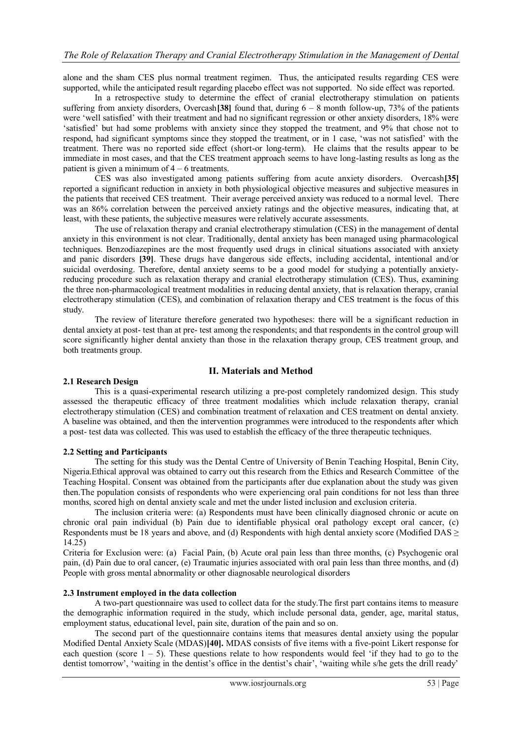alone and the sham CES plus normal treatment regimen. Thus, the anticipated results regarding CES were supported, while the anticipated result regarding placebo effect was not supported. No side effect was reported.

In a retrospective study to determine the effect of cranial electrotherapy stimulation on patients suffering from anxiety disorders, Overcash**[38]** found that, during 6 – 8 month follow-up, 73% of the patients were 'well satisfied' with their treatment and had no significant regression or other anxiety disorders, 18% were 'satisfied' but had some problems with anxiety since they stopped the treatment, and 9% that chose not to respond, had significant symptoms since they stopped the treatment, or in 1 case, 'was not satisfied' with the treatment. There was no reported side effect (short-or long-term). He claims that the results appear to be immediate in most cases, and that the CES treatment approach seems to have long-lasting results as long as the patient is given a minimum of  $4 - 6$  treatments.

CES was also investigated among patients suffering from acute anxiety disorders. Overcash**[35]** reported a significant reduction in anxiety in both physiological objective measures and subjective measures in the patients that received CES treatment. Their average perceived anxiety was reduced to a normal level. There was an 86% correlation between the perceived anxiety ratings and the objective measures, indicating that, at least, with these patients, the subjective measures were relatively accurate assessments.

The use of relaxation therapy and cranial electrotherapy stimulation (CES) in the management of dental anxiety in this environment is not clear. Traditionally, dental anxiety has been managed using pharmacological techniques. Benzodiazepines are the most frequently used drugs in clinical situations associated with anxiety and panic disorders **[39]**. These drugs have dangerous side effects, including accidental, intentional and/or suicidal overdosing. Therefore, dental anxiety seems to be a good model for studying a potentially anxietyreducing procedure such as relaxation therapy and cranial electrotherapy stimulation (CES). Thus, examining the three non-pharmacological treatment modalities in reducing dental anxiety, that is relaxation therapy, cranial electrotherapy stimulation (CES), and combination of relaxation therapy and CES treatment is the focus of this study.

The review of literature therefore generated two hypotheses: there will be a significant reduction in dental anxiety at post- test than at pre- test among the respondents; and that respondents in the control group will score significantly higher dental anxiety than those in the relaxation therapy group, CES treatment group, and both treatments group.

# **II. Materials and Method**

#### **2.1 Research Design**

This is a quasi-experimental research utilizing a pre-post completely randomized design. This study assessed the therapeutic efficacy of three treatment modalities which include relaxation therapy, cranial electrotherapy stimulation (CES) and combination treatment of relaxation and CES treatment on dental anxiety. A baseline was obtained, and then the intervention programmes were introduced to the respondents after which a post- test data was collected. This was used to establish the efficacy of the three therapeutic techniques.

# **2.2 Setting and Participants**

The setting for this study was the Dental Centre of University of Benin Teaching Hospital, Benin City, Nigeria.Ethical approval was obtained to carry out this research from the Ethics and Research Committee of the Teaching Hospital. Consent was obtained from the participants after due explanation about the study was given then.The population consists of respondents who were experiencing oral pain conditions for not less than three months, scored high on dental anxiety scale and met the under listed inclusion and exclusion criteria.

The inclusion criteria were: (a) Respondents must have been clinically diagnosed chronic or acute on chronic oral pain individual (b) Pain due to identifiable physical oral pathology except oral cancer, (c) Respondents must be 18 years and above, and (d) Respondents with high dental anxiety score (Modified DAS  $\geq$ 14.25)

Criteria for Exclusion were: (a) Facial Pain, (b) Acute oral pain less than three months, (c) Psychogenic oral pain, (d) Pain due to oral cancer, (e) Traumatic injuries associated with oral pain less than three months, and (d) People with gross mental abnormality or other diagnosable neurological disorders

#### **2.3 Instrument employed in the data collection**

A two-part questionnaire was used to collect data for the study.The first part contains items to measure the demographic information required in the study, which include personal data, gender, age, marital status, employment status, educational level, pain site, duration of the pain and so on.

The second part of the questionnaire contains items that measures dental anxiety using the popular Modified Dental Anxiety Scale (MDAS)**[40].** MDAS consists of five items with a five-point Likert response for each question (score  $1 - 5$ ). These questions relate to how respondents would feel 'if they had to go to the dentist tomorrow', 'waiting in the dentist's office in the dentist's chair', 'waiting while s/he gets the drill ready'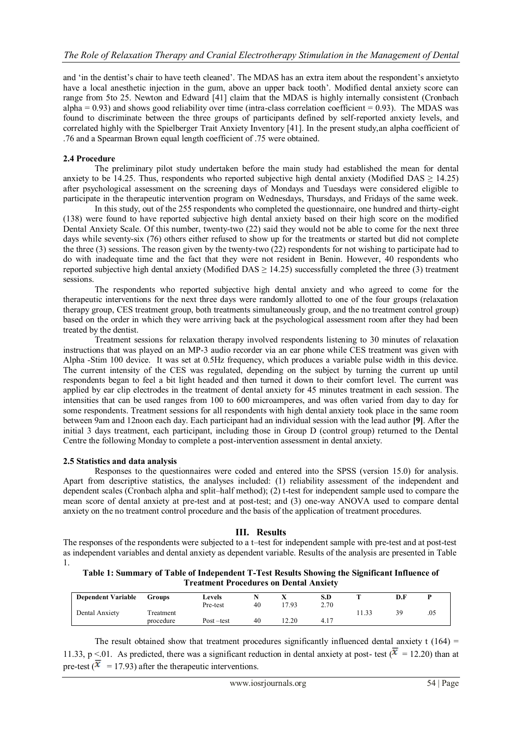and 'in the dentist's chair to have teeth cleaned'. The MDAS has an extra item about the respondent's anxietyto have a local anesthetic injection in the gum, above an upper back tooth'. Modified dental anxiety score can range from 5to 25. Newton and Edward [41] claim that the MDAS is highly internally consistent (Cronbach alpha  $= 0.93$ ) and shows good reliability over time (intra-class correlation coefficient  $= 0.93$ ). The MDAS was found to discriminate between the three groups of participants defined by self-reported anxiety levels, and correlated highly with the Spielberger Trait Anxiety Inventory [41]. In the present study,an alpha coefficient of .76 and a Spearman Brown equal length coefficient of .75 were obtained.

#### **2.4 Procedure**

The preliminary pilot study undertaken before the main study had established the mean for dental anxiety to be 14.25. Thus, respondents who reported subjective high dental anxiety (Modified DAS  $\geq$  14.25) after psychological assessment on the screening days of Mondays and Tuesdays were considered eligible to participate in the therapeutic intervention program on Wednesdays, Thursdays, and Fridays of the same week.

In this study, out of the 255 respondents who completed the questionnaire, one hundred and thirty-eight (138) were found to have reported subjective high dental anxiety based on their high score on the modified Dental Anxiety Scale. Of this number, twenty-two (22) said they would not be able to come for the next three days while seventy-six (76) others either refused to show up for the treatments or started but did not complete the three (3) sessions. The reason given by the twenty-two  $(22)$  respondents for not wishing to participate had to do with inadequate time and the fact that they were not resident in Benin. However, 40 respondents who reported subjective high dental anxiety (Modified DAS  $\geq$  14.25) successfully completed the three (3) treatment sessions.

The respondents who reported subjective high dental anxiety and who agreed to come for the therapeutic interventions for the next three days were randomly allotted to one of the four groups (relaxation therapy group, CES treatment group, both treatments simultaneously group, and the no treatment control group) based on the order in which they were arriving back at the psychological assessment room after they had been treated by the dentist.

Treatment sessions for relaxation therapy involved respondents listening to 30 minutes of relaxation instructions that was played on an MP-3 audio recorder via an ear phone while CES treatment was given with Alpha -Stim 100 device. It was set at 0.5Hz frequency, which produces a variable pulse width in this device. The current intensity of the CES was regulated, depending on the subject by turning the current up until respondents began to feel a bit light headed and then turned it down to their comfort level. The current was applied by ear clip electrodes in the treatment of dental anxiety for 45 minutes treatment in each session. The intensities that can be used ranges from 100 to 600 microamperes, and was often varied from day to day for some respondents. Treatment sessions for all respondents with high dental anxiety took place in the same room between 9am and 12noon each day. Each participant had an individual session with the lead author **[9]**. After the initial 3 days treatment, each participant, including those in Group D (control group) returned to the Dental Centre the following Monday to complete a post-intervention assessment in dental anxiety.

# **2.5 Statistics and data analysis**

Responses to the questionnaires were coded and entered into the SPSS (version 15.0) for analysis. Apart from descriptive statistics, the analyses included: (1) reliability assessment of the independent and dependent scales (Cronbach alpha and split–half method); (2) t-test for independent sample used to compare the mean score of dental anxiety at pre-test and at post-test; and (3) one-way ANOVA used to compare dental anxiety on the no treatment control procedure and the basis of the application of treatment procedures.

# **III. Results**

The responses of the respondents were subjected to a t–test for independent sample with pre-test and at post-test as independent variables and dental anxiety as dependent variable. Results of the analysis are presented in Table 1.

**Table 1: Summary of Table of Independent T-Test Results Showing the Significant Influence of Treatment Procedures on Dental Anxiety**

| <b>Dependent Variable</b> | Groups                 | Levels<br>Pre-test | 40 | 17.93 | S.D<br>2.70 |      | D.F |  |
|---------------------------|------------------------|--------------------|----|-------|-------------|------|-----|--|
| Dental Anxiety            | Treatment<br>procedure | Post-test          | 40 | 12.20 | 4.17        | 1.33 |     |  |

The result obtained show that treatment procedures significantly influenced dental anxiety t (164) = 11.33, p <.01. As predicted, there was a significant reduction in dental anxiety at post- test ( $\overline{x}$  = 12.20) than at pre-test ( $\overline{x}$  = 17.93) after the therapeutic interventions.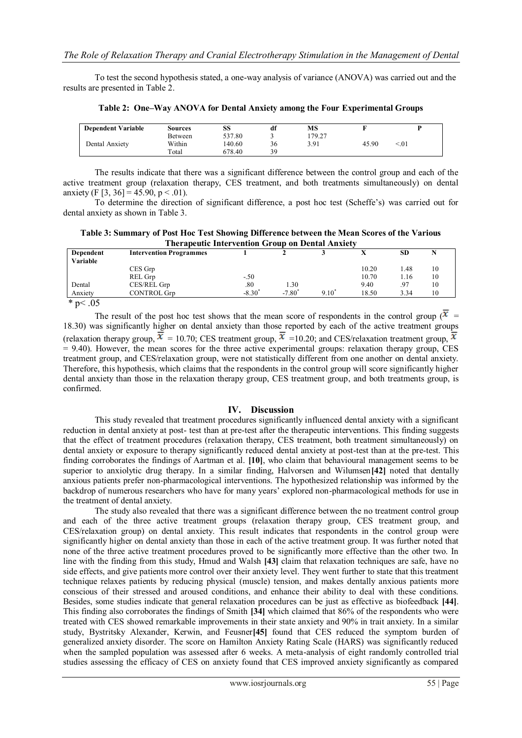To test the second hypothesis stated, a one-way analysis of variance (ANOVA) was carried out and the results are presented in Table 2.

| <b>Dependent Variable</b> | Sources | SS     | df | МS     |       |      |
|---------------------------|---------|--------|----|--------|-------|------|
|                           | Between | 537.80 |    | 179.27 |       |      |
| Dental Anxiety            | Within  | 140.60 | 36 | 3.91   | 45.90 | < 01 |
|                           | Total   | 678.40 | 39 |        |       |      |

**Table 2: One–Way ANOVA for Dental Anxiety among the Four Experimental Groups**

The results indicate that there was a significant difference between the control group and each of the active treatment group (relaxation therapy, CES treatment, and both treatments simultaneously) on dental anxiety (F [3, 36] = 45.90, p < .01).

To determine the direction of significant difference, a post hoc test (Scheffe's) was carried out for dental anxiety as shown in Table 3.

**Table 3: Summary of Post Hoc Test Showing Difference between the Mean Scores of the Various Therapeutic Intervention Group on Dental Anxiety**

| Dependent<br>Variable | <b>Intervention Programmes</b> |           |           |          |       | <b>SD</b> |  |
|-----------------------|--------------------------------|-----------|-----------|----------|-------|-----------|--|
|                       | CES Grp                        |           |           |          | 10.20 | .48       |  |
|                       | REL Grp                        | $-.50$    |           |          | 10.70 | .16       |  |
| Dental                | CES/REL Grp                    | .80       | 1.30      |          | 9.40  | .97       |  |
| Anxiety               | <b>CONTROL Grp</b>             | $-8.30^*$ | $-7.80^*$ | $9.10^*$ | 18.50 | 3.34      |  |

\* p $< .05$ 

The result of the post hoc test shows that the mean score of respondents in the control group ( $\overline{x}$ ) 18.30) was significantly higher on dental anxiety than those reported by each of the active treatment groups (relaxation therapy group,  $\bar{x} = 10.70$ ; CES treatment group,  $\bar{x} = 10.20$ ; and CES/relaxation treatment group,  $\bar{x}$  $= 9.40$ ). However, the mean scores for the three active experimental groups: relaxation therapy group, CES treatment group, and CES/relaxation group, were not statistically different from one another on dental anxiety. Therefore, this hypothesis, which claims that the respondents in the control group will score significantly higher dental anxiety than those in the relaxation therapy group, CES treatment group, and both treatments group, is confirmed.

### **IV. Discussion**

This study revealed that treatment procedures significantly influenced dental anxiety with a significant reduction in dental anxiety at post- test than at pre-test after the therapeutic interventions. This finding suggests that the effect of treatment procedures (relaxation therapy, CES treatment, both treatment simultaneously) on dental anxiety or exposure to therapy significantly reduced dental anxiety at post-test than at the pre-test. This finding corroborates the findings of Aartman et al. **[10]**, who claim that behavioural management seems to be superior to anxiolytic drug therapy. In a similar finding, Halvorsen and Wilumsen**[42]** noted that dentally anxious patients prefer non-pharmacological interventions. The hypothesized relationship was informed by the backdrop of numerous researchers who have for many years' explored non-pharmacological methods for use in the treatment of dental anxiety.

The study also revealed that there was a significant difference between the no treatment control group and each of the three active treatment groups (relaxation therapy group, CES treatment group, and CES/relaxation group) on dental anxiety. This result indicates that respondents in the control group were significantly higher on dental anxiety than those in each of the active treatment group. It was further noted that none of the three active treatment procedures proved to be significantly more effective than the other two. In line with the finding from this study, Hmud and Walsh **[43]** claim that relaxation techniques are safe, have no side effects, and give patients more control over their anxiety level. They went further to state that this treatment technique relaxes patients by reducing physical (muscle) tension, and makes dentally anxious patients more conscious of their stressed and aroused conditions, and enhance their ability to deal with these conditions. Besides, some studies indicate that general relaxation procedures can be just as effective as biofeedback **[44]**. This finding also corroborates the findings of Smith **[34]** which claimed that 86% of the respondents who were treated with CES showed remarkable improvements in their state anxiety and 90% in trait anxiety. In a similar study, Bystritsky Alexander, Kerwin, and Feusner**[45]** found that CES reduced the symptom burden of generalized anxiety disorder. The score on Hamilton Anxiety Rating Scale (HARS) was significantly reduced when the sampled population was assessed after 6 weeks. A meta-analysis of eight randomly controlled trial studies assessing the efficacy of CES on anxiety found that CES improved anxiety significantly as compared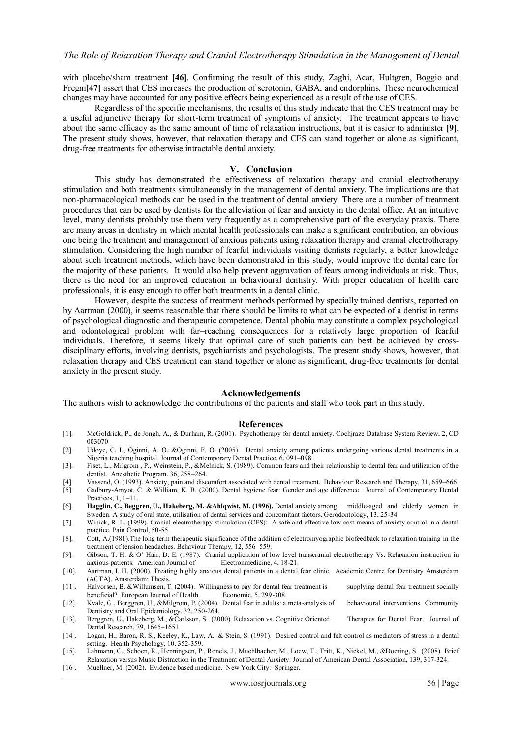with placebo/sham treatment [46]. Confirming the result of this study, Zaghi, Acar, Hultgren, Boggio and Fregni**[47]** assert that CES increases the production of serotonin, GABA, and endorphins. These neurochemical changes may have accounted for any positive effects being experienced as a result of the use of CES.

Regardless of the specific mechanisms, the results of this study indicate that the CES treatment may be a useful adjunctive therapy for short-term treatment of symptoms of anxiety. The treatment appears to have about the same efficacy as the same amount of time of relaxation instructions, but it is easier to administer **[9]**. The present study shows, however, that relaxation therapy and CES can stand together or alone as significant, drug-free treatments for otherwise intractable dental anxiety.

#### **V. Conclusion**

This study has demonstrated the effectiveness of relaxation therapy and cranial electrotherapy stimulation and both treatments simultaneously in the management of dental anxiety. The implications are that non-pharmacological methods can be used in the treatment of dental anxiety. There are a number of treatment procedures that can be used by dentists for the alleviation of fear and anxiety in the dental office. At an intuitive level, many dentists probably use them very frequently as a comprehensive part of the everyday praxis. There are many areas in dentistry in which mental health professionals can make a significant contribution, an obvious one being the treatment and management of anxious patients using relaxation therapy and cranial electrotherapy stimulation. Considering the high number of fearful individuals visiting dentists regularly, a better knowledge about such treatment methods, which have been demonstrated in this study, would improve the dental care for the majority of these patients. It would also help prevent aggravation of fears among individuals at risk. Thus, there is the need for an improved education in behavioural dentistry. With proper education of health care professionals, it is easy enough to offer both treatments in a dental clinic.

However, despite the success of treatment methods performed by specially trained dentists, reported on by Aartman (2000), it seems reasonable that there should be limits to what can be expected of a dentist in terms of psychological diagnostic and therapeutic competence. Dental phobia may constitute a complex psychological and odontological problem with far–reaching consequences for a relatively large proportion of fearful individuals. Therefore, it seems likely that optimal care of such patients can best be achieved by crossdisciplinary efforts, involving dentists, psychiatrists and psychologists. The present study shows, however, that relaxation therapy and CES treatment can stand together or alone as significant, drug-free treatments for dental anxiety in the present study.

#### **Acknowledgements**

The authors wish to acknowledge the contributions of the patients and staff who took part in this study.

#### **References**

- [1]. McGoldrick, P., de Jongh, A., & Durham, R. (2001). Psychotherapy for dental anxiety. Cochjraze Database System Review, 2, CD 003070
- [2]. Udoye, C. I., Oginni, A. O. &Oginni, F. O. (2005). Dental anxiety among patients undergoing various dental treatments in a Nigeria teaching hospital. Journal of Contemporary Dental Practice. 6, 091–098.
- [3]. Fiset, L., Milgrom , P., Weinstein, P., &Melnick, S. (1989). Common fears and their relationship to dental fear and utilization of the dentist. Anesthetic Program. 36, 258–264.
- [4]. Vassend, O. (1993). Anxiety, pain and discomfort associated with dental treatment. Behaviour Research and Therapy, 31, 659–666.
- [5]. Gadbury-Amyot, C. & William, K. B. (2000). Dental hygiene fear: Gender and age difference. Journal of Contemporary Dental Practices, 1, 1–11.
- [6]. **Hagglin, C., Beggren, U., Hakeberg, M. &Ahlqwist, M. (1996).** Dental anxiety among middle-aged and elderly women in Sweden. A study of oral state, utilisation of dental services and concomitant factors. Gerodontology, 13, 25-34
- [7]. Winick, R. L. (1999). Cranial electrotherapy stimulation (CES): A safe and effective low cost means of anxiety control in a dental practice. Pain Control, 50-55.
- [8]. Cott, A.(1981).The long term therapeutic significance of the addition of electromyographic biofeedback to relaxation training in the treatment of tension headaches. Behaviour Therapy, 12, 556–559.
- [9]. Gibson, T. H. & O' Hair, D. E. (1987). Cranial application of low level transcranial electrotherapy Vs. Relaxation instruction in anxious patients. American Journal of Electronmedicine, 4, 18-21.
- [10]. Aartman, I. H. (2000). Treating highly anxious dental patients in a dental fear clinic. Academic Centre for Dentistry Amsterdam (ACTA). Amsterdam: Thesis.
- [11]. Halvorsen, B. &Willumsen, T. (2004). Willingness to pay for dental fear treatment is supplying dental fear treatment socially beneficial? European Journal of Health Economic, 5, 299-308.
- [12]. Kvale, G., Berggren, U., &Milgrom, P. (2004). Dental fear in adults: a meta-analysis of behavioural interventions. Community Dentistry and Oral Epidemiology, 32, 250-264.
- [13]. Berggren, U., Hakeberg, M., &Carlsson, S. (2000). Relaxation vs. Cognitive Oriented Therapies for Dental Fear. Journal of Dental Research, 79, 1645–1651.
- [14]. Logan, H., Baron, R. S., Keeley, K., Law, A., & Stein, S. (1991). Desired control and felt control as mediators of stress in a dental setting. Health Psychology, 10, 352-359.
- [15]. Lahmann, C., Schoen, R., Henningsen, P., Ronels, J., Muehlbacher, M., Loew, T., Tritt, K., Nickel, M., &Doering, S. (2008). Brief Relaxation versus Music Distraction in the Treatment of Dental Anxiety. Journal of American Dental Association, 139, 317-324.
- [16]. Muellner, M. (2002). Evidence based medicine. New York City: Springer.